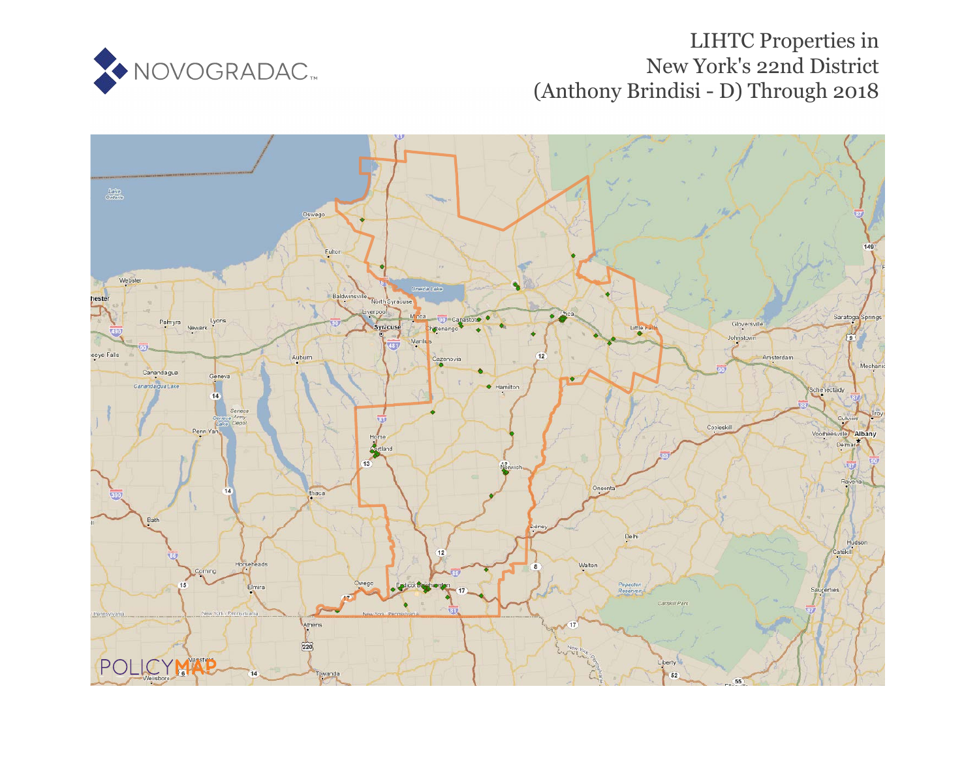

# LIHTC Properties in New York's 22nd District (Anthony Brindisi - D) Through 2018

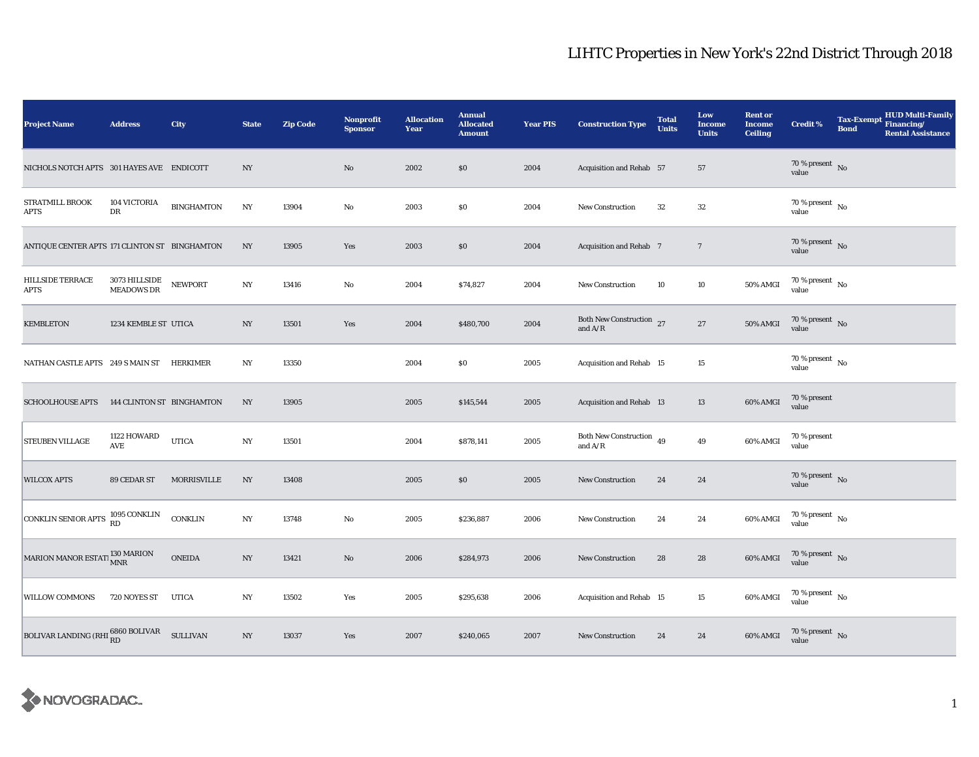| <b>Project Name</b>                                  | <b>Address</b>              | City              | <b>State</b>     | <b>Zip Code</b> | <b>Nonprofit</b><br><b>Sponsor</b> | <b>Allocation</b><br>Year | <b>Annual</b><br><b>Allocated</b><br><b>Amount</b> | <b>Year PIS</b> | <b>Construction Type</b>                   | <b>Total</b><br><b>Units</b> | Low<br>Income<br><b>Units</b> | <b>Rent or</b><br><b>Income</b><br><b>Ceiling</b> | <b>Credit %</b>                          | <b>Tax-Exempt</b><br><b>Bond</b> | <b>HUD Multi-Family</b><br>Financing/<br><b>Rental Assistance</b> |
|------------------------------------------------------|-----------------------------|-------------------|------------------|-----------------|------------------------------------|---------------------------|----------------------------------------------------|-----------------|--------------------------------------------|------------------------------|-------------------------------|---------------------------------------------------|------------------------------------------|----------------------------------|-------------------------------------------------------------------|
| NICHOLS NOTCH APTS 301 HAYES AVE ENDICOTT            |                             |                   | NY               |                 | No                                 | 2002                      | $\$0$                                              | 2004            | Acquisition and Rehab 57                   |                              | 57                            |                                                   | 70 % present $\,$ No $\,$<br>value       |                                  |                                                                   |
| STRATMILL BROOK<br>APTS                              | 104 VICTORIA<br>DR          | <b>BINGHAMTON</b> | $_{\mathrm{NY}}$ | 13904           | No                                 | 2003                      | $\$0$                                              | 2004            | <b>New Construction</b>                    | 32                           | $32\,$                        |                                                   | $70\%$ present $\overline{N_0}$<br>value |                                  |                                                                   |
| ANTIQUE CENTER APTS 171 CLINTON ST BINGHAMTON        |                             |                   | NY               | 13905           | Yes                                | 2003                      | \$0                                                | 2004            | Acquisition and Rehab 7                    |                              | $\overline{7}$                |                                                   | $70$ % present $_{\rm{No}}$              |                                  |                                                                   |
| HILLSIDE TERRACE<br><b>APTS</b>                      | 3073 HILLSIDE<br>MEADOWS DR | <b>NEWPORT</b>    | NY               | 13416           | No                                 | 2004                      | \$74,827                                           | 2004            | New Construction                           | 10                           | 10                            | 50% AMGI                                          | $70$ % present $\,$ No $\,$<br>value     |                                  |                                                                   |
| <b>KEMBLETON</b>                                     | 1234 KEMBLE ST UTICA        |                   | NY               | 13501           | Yes                                | 2004                      | \$480,700                                          | 2004            | Both New Construction 27<br>and $A/R$      |                              | 27                            | 50% AMGI                                          | 70 % present $\,$ No $\,$<br>value       |                                  |                                                                   |
| NATHAN CASTLE APTS 249 S MAIN ST HERKIMER            |                             |                   | NY               | 13350           |                                    | 2004                      | \$0\$                                              | 2005            | Acquisition and Rehab 15                   |                              | 15                            |                                                   | 70 % present $\hbox{~No}$<br>value       |                                  |                                                                   |
| <b>SCHOOLHOUSE APTS</b>                              | 144 CLINTON ST BINGHAMTON   |                   | NY               | 13905           |                                    | 2005                      | \$145,544                                          | 2005            | <b>Acquisition and Rehab 13</b>            |                              | 13                            | 60% AMGI                                          | 70 % present<br>value                    |                                  |                                                                   |
| STEUBEN VILLAGE                                      | 1122 HOWARD<br><b>AVE</b>   | <b>UTICA</b>      | NY               | 13501           |                                    | 2004                      | \$878,141                                          | 2005            | Both New Construction $\,$ 49<br>and $A/R$ |                              | 49                            | 60% AMGI                                          | 70 % present<br>value                    |                                  |                                                                   |
| <b>WILCOX APTS</b>                                   | 89 CEDAR ST                 | MORRISVILLE       | $_{\mathrm{NY}}$ | 13408           |                                    | 2005                      | \$0                                                | 2005            | New Construction                           | 24                           | 24                            |                                                   | 70 % present $\hbox{~No}$<br>value       |                                  |                                                                   |
| CONKLIN SENIOR APTS                                  | 1095 CONKLIN<br>RD          | CONKLIN           | NY               | 13748           | No                                 | 2005                      | \$236,887                                          | 2006            | <b>New Construction</b>                    | 24                           | 24                            | 60% AMGI                                          | $70$ % present $\,$ No $\,$<br>value     |                                  |                                                                   |
| MARION MANOR ESTATI $^{130\,\rm{MARION}}_{\rm{MNR}}$ |                             | <b>ONEIDA</b>     | NY               | 13421           | No                                 | 2006                      | \$284,973                                          | 2006            | <b>New Construction</b>                    | 28                           | 28                            | 60% AMGI                                          | 70 % present $\hbox{~No}$<br>value       |                                  |                                                                   |
| <b>WILLOW COMMONS</b>                                | 720 NOYES ST                | <b>UTICA</b>      | NY               | 13502           | Yes                                | 2005                      | \$295,638                                          | 2006            | Acquisition and Rehab 15                   |                              | 15                            | 60% AMGI                                          | $70$ % present $\,$ No $\,$<br>value     |                                  |                                                                   |
| BOLIVAR LANDING (RHI 6860 BOLIVAR SULLIVAN           |                             |                   | NY               | 13037           | Yes                                | 2007                      | \$240,065                                          | 2007            | <b>New Construction</b>                    | 24                           | 24                            | 60% AMGI                                          | $70\,\%$ present $\,$ No value           |                                  |                                                                   |

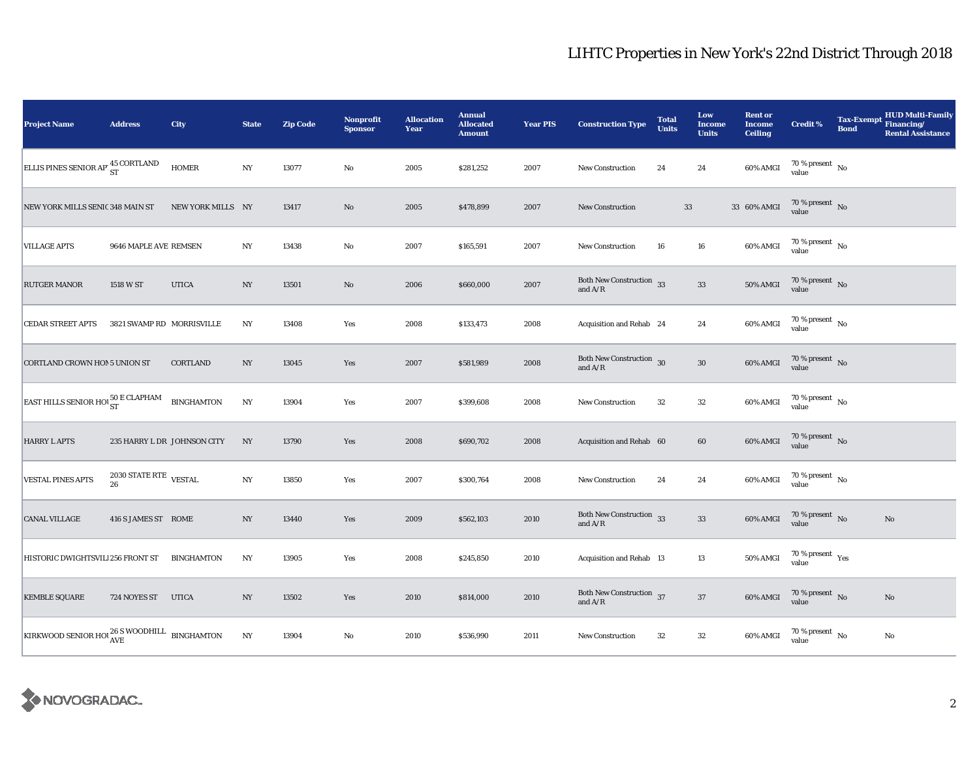| <b>Project Name</b>                                               | <b>Address</b>                     | City                        | <b>State</b>     | <b>Zip Code</b> | Nonprofit<br><b>Sponsor</b> | <b>Allocation</b><br>Year | <b>Annual</b><br><b>Allocated</b><br><b>Amount</b> | <b>Year PIS</b> | <b>Construction Type</b>                                                          | <b>Total</b><br><b>Units</b> | Low<br><b>Income</b><br><b>Units</b> | <b>Rent or</b><br><b>Income</b><br><b>Ceiling</b> | <b>Credit %</b>                              | <b>Tax-Exempt</b><br><b>Bond</b> | <b>HUD Multi-Family</b><br>Financing/<br><b>Rental Assistance</b> |
|-------------------------------------------------------------------|------------------------------------|-----------------------------|------------------|-----------------|-----------------------------|---------------------------|----------------------------------------------------|-----------------|-----------------------------------------------------------------------------------|------------------------------|--------------------------------------|---------------------------------------------------|----------------------------------------------|----------------------------------|-------------------------------------------------------------------|
| ELLIS PINES SENIOR AP <sup>45</sup> CORTLAND                      |                                    | <b>HOMER</b>                | NY               | 13077           | No                          | 2005                      | \$281,252                                          | 2007            | <b>New Construction</b>                                                           | 24                           | 24                                   | 60% AMGI                                          | 70 % present $\hbox{~No}$<br>value           |                                  |                                                                   |
| NEW YORK MILLS SENIC 348 MAIN ST                                  |                                    | NEW YORK MILLS NY           |                  | 13417           | $\rm No$                    | 2005                      | \$478,899                                          | 2007            | <b>New Construction</b>                                                           |                              | $33\,$                               | 33 60% AMGI                                       | 70 % present $\,$ No $\,$<br>value           |                                  |                                                                   |
| <b>VILLAGE APTS</b>                                               | 9646 MAPLE AVE REMSEN              |                             | $_{\mathrm{NY}}$ | 13438           | No                          | 2007                      | \$165,591                                          | 2007            | <b>New Construction</b>                                                           | 16                           | ${\bf 16}$                           | 60% AMGI                                          | $70\,\%$ present $\,$ No value               |                                  |                                                                   |
| <b>RUTGER MANOR</b>                                               | 1518 W ST                          | <b>UTICA</b>                | NY               | 13501           | $\rm No$                    | 2006                      | \$660,000                                          | 2007            | Both New Construction 33<br>and $\ensuremath{\mathrm{A}}/\ensuremath{\mathrm{R}}$ |                              | $33\,$                               | 50% AMGI                                          | $70\,\%$ present $\,$ No value               |                                  |                                                                   |
| <b>CEDAR STREET APTS</b>                                          | 3821 SWAMP RD MORRISVILLE          |                             | NY               | 13408           | Yes                         | 2008                      | \$133,473                                          | 2008            | Acquisition and Rehab 24                                                          |                              | 24                                   | 60% AMGI                                          | $70\,\%$ present $\,$ No value               |                                  |                                                                   |
| <b>CORTLAND CROWN HOM 5 UNION ST</b>                              |                                    | CORTLAND                    | $_{\mathrm{NY}}$ | 13045           | Yes                         | 2007                      | \$581,989                                          | 2008            | Both New Construction 30<br>and $\ensuremath{\mathrm{A}}/\ensuremath{\mathrm{R}}$ |                              | ${\bf 30}$                           | 60% AMGI                                          | $70\,\%$ present $\,$ No value               |                                  |                                                                   |
| <b>EAST HILLS SENIOR HOUST</b>                                    |                                    | <b>BINGHAMTON</b>           | $_{\mathrm{NY}}$ | 13904           | Yes                         | 2007                      | \$399,608                                          | 2008            | New Construction                                                                  | $32\,$                       | ${\bf 32}$                           | 60% AMGI                                          | $70\,\%$ present $\,$ No value               |                                  |                                                                   |
| <b>HARRY L APTS</b>                                               |                                    | 235 HARRY L DR JOHNSON CITY | NY               | 13790           | Yes                         | 2008                      | \$690,702                                          | 2008            | Acquisition and Rehab 60                                                          |                              | 60                                   | 60% AMGI                                          | $70\,\%$ present $\,$ No value               |                                  |                                                                   |
| <b>VESTAL PINES APTS</b>                                          | $2030$ STATE RTE $\,$ VESTAL<br>26 |                             | $_{\mathrm{NY}}$ | 13850           | Yes                         | 2007                      | \$300,764                                          | 2008            | New Construction                                                                  | 24                           | 24                                   | 60% AMGI                                          | $70\,\%$ present $\,$ No value               |                                  |                                                                   |
| <b>CANAL VILLAGE</b>                                              | 416 S JAMES ST ROME                |                             | NY               | 13440           | Yes                         | 2009                      | \$562,103                                          | 2010            | Both New Construction 33<br>and $A/R$                                             |                              | $\bf 33$                             | 60% AMGI                                          | $70\,\%$ present $\,$ No value               |                                  | $\rm No$                                                          |
| HISTORIC DWIGHTSVILI 256 FRONT ST                                 |                                    | <b>BINGHAMTON</b>           | NY               | 13905           | Yes                         | 2008                      | \$245,850                                          | 2010            | Acquisition and Rehab 13                                                          |                              | 13                                   | 50% AMGI                                          | $70$ % present $\rm\thinspace\,Yes$<br>value |                                  |                                                                   |
| <b>KEMBLE SQUARE</b>                                              | 724 NOYES ST                       | <b>UTICA</b>                | $_{\mathrm{NY}}$ | 13502           | Yes                         | 2010                      | \$814,000                                          | 2010            | Both New Construction 37<br>and $\ensuremath{\mathrm{A}}/\ensuremath{\mathrm{R}}$ |                              | $37\,$                               | 60% AMGI                                          | $70\,\%$ present $\,$ No value               |                                  | $\rm No$                                                          |
| KIRKWOOD SENIOR HOL $_{\rm AVE}^{26\text{ S}$ WOODHILL BINGHAMTON |                                    |                             | NY               | 13904           | $\mathbf{No}$               | 2010                      | \$536,990                                          | 2011            | <b>New Construction</b>                                                           | $32\,$                       | ${\bf 32}$                           | 60% AMGI                                          | $70$ % present $\,$ No $\,$<br>value         |                                  | $\rm No$                                                          |

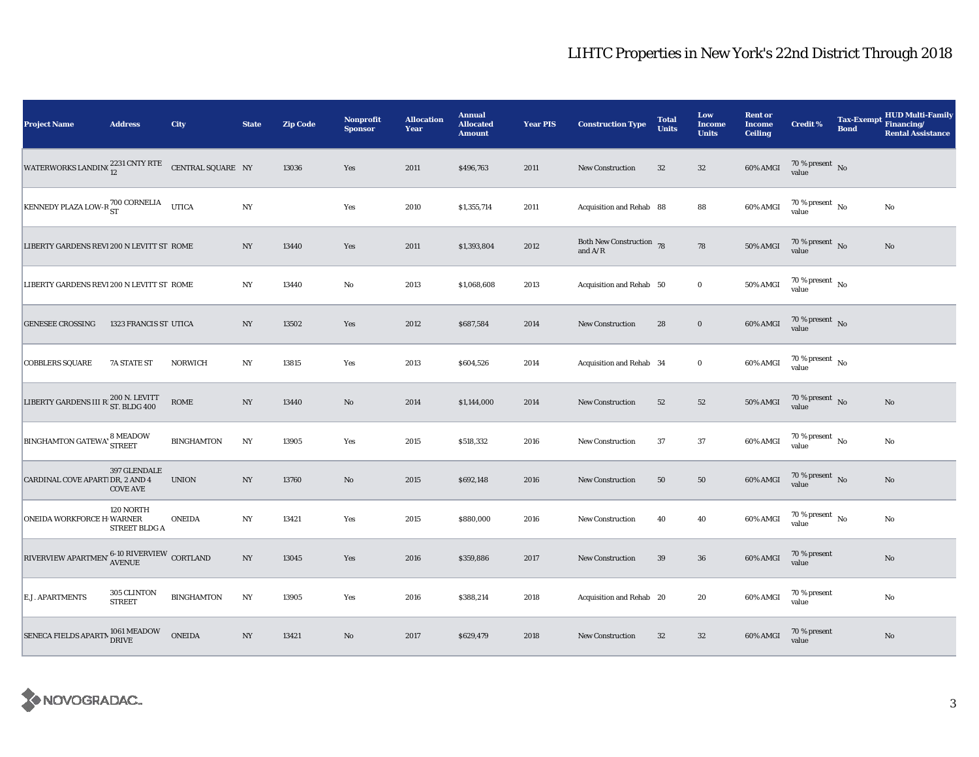| <b>Project Name</b>                                                     | <b>Address</b>                  | City              | <b>State</b>     | <b>Zip Code</b> | Nonprofit<br><b>Sponsor</b> | <b>Allocation</b><br>Year | <b>Annual</b><br><b>Allocated</b><br><b>Amount</b> | <b>Year PIS</b> | <b>Construction Type</b>                  | <b>Total</b><br><b>Units</b> | Low<br><b>Income</b><br><b>Units</b> | <b>Rent or</b><br><b>Income</b><br><b>Ceiling</b> | <b>Credit %</b>                        | <b>Tax-Exempt</b><br><b>Bond</b> | <b>HUD Multi-Family</b><br>Financing/<br><b>Rental Assistance</b> |
|-------------------------------------------------------------------------|---------------------------------|-------------------|------------------|-----------------|-----------------------------|---------------------------|----------------------------------------------------|-----------------|-------------------------------------------|------------------------------|--------------------------------------|---------------------------------------------------|----------------------------------------|----------------------------------|-------------------------------------------------------------------|
| WATERWORKS LANDING $^{2231}_{12}$ CNTY RTE CENTRAL SQUARE NY            |                                 |                   |                  | 13036           | Yes                         | 2011                      | \$496,763                                          | 2011            | <b>New Construction</b>                   | 32                           | $32\,$                               | 60% AMGI                                          | $70\,\%$ present $\,$ No value         |                                  |                                                                   |
| KENNEDY PLAZA LOW-R $^{700\, \rm{CORNELIA}}_{\rm ST}$                   |                                 | <b>UTICA</b>      | $_{\mathrm{NY}}$ |                 | Yes                         | 2010                      | \$1,355,714                                        | 2011            | Acquisition and Rehab 88                  |                              | 88                                   | 60% AMGI                                          | 70 % present $\,$ No $\,$<br>value     |                                  | No                                                                |
| LIBERTY GARDENS REVI 200 N LEVITT ST ROME                               |                                 |                   | NY               | 13440           | Yes                         | 2011                      | \$1,393,804                                        | 2012            | Both New Construction 78<br>and $\rm A/R$ |                              | 78                                   | 50% AMGI                                          | 70 % present $\overline{N_0}$<br>value |                                  | $\mathbf{No}$                                                     |
| LIBERTY GARDENS REVI 200 N LEVITT ST ROME                               |                                 |                   | NY               | 13440           | $\rm No$                    | 2013                      | \$1,068,608                                        | 2013            | Acquisition and Rehab 50                  |                              | $\mathbf 0$                          | 50% AMGI                                          | $70$ % present $\,$ No $\,$<br>value   |                                  |                                                                   |
| <b>GENESEE CROSSING</b>                                                 | 1323 FRANCIS ST UTICA           |                   | $_{\mathrm{NY}}$ | 13502           | Yes                         | 2012                      | \$687,584                                          | 2014            | New Construction                          | 28                           | $\mathbf 0$                          | 60% AMGI                                          | $70\,\%$ present $\,$ No value         |                                  |                                                                   |
| <b>COBBLERS SQUARE</b>                                                  | 7A STATE ST                     | <b>NORWICH</b>    | $_{\mathrm{NY}}$ | 13815           | Yes                         | 2013                      | \$604,526                                          | 2014            | Acquisition and Rehab 34                  |                              | $\bf{0}$                             | 60% AMGI                                          | 70 % present $\,$ No $\,$<br>value     |                                  |                                                                   |
| LIBERTY GARDENS III R 200 N. LEVITT                                     |                                 |                   | $_{\mathrm{NY}}$ | 13440           | No                          | 2014                      | \$1,144,000                                        | 2014            | <b>New Construction</b>                   | 52                           | 52                                   | 50% AMGI                                          | $70\,\%$ present $\,$ No value         |                                  | $\mathbf{No}$                                                     |
| <b>BINGHAMTON GATEWA'</b> 8 MEADOW                                      |                                 | <b>BINGHAMTON</b> | $_{\mathrm{NY}}$ | 13905           | Yes                         | 2015                      | \$518,332                                          | 2016            | <b>New Construction</b>                   | 37                           | 37                                   | 60% AMGI                                          | $70$ % present $\,$ No $\,$<br>value   |                                  | No                                                                |
| CARDINAL COVE APARTI DR, 2 AND 4                                        | 397 GLENDALE<br><b>COVE AVE</b> | <b>UNION</b>      | NY               | 13760           | No                          | 2015                      | \$692,148                                          | 2016            | New Construction                          | 50                           | 50                                   | 60% AMGI                                          | 70 % present $\bar{N}$ o<br>value      |                                  | No                                                                |
| <b>ONEIDA WORKFORCE H WARNER</b>                                        | 120 NORTH<br>STREET BLDG A      | <b>ONEIDA</b>     | $_{\mathrm{NY}}$ | 13421           | Yes                         | 2015                      | \$880,000                                          | 2016            | <b>New Construction</b>                   | 40                           | 40                                   | 60% AMGI                                          | 70 % present $\overline{N_0}$<br>value |                                  | No                                                                |
| RIVERVIEW APARTMEN' $^{\text{6-10 RIVERVIEW}}_{\text{AVENUE}}$ CORTLAND |                                 |                   | $_{\mathrm{NY}}$ | 13045           | Yes                         | 2016                      | \$359,886                                          | 2017            | New Construction                          | $39\,$                       | ${\bf 36}$                           | 60% AMGI                                          | 70 % present<br>value                  |                                  | $\mathbf{No}$                                                     |
| E.J. APARTMENTS                                                         | 305 CLINTON<br><b>STREET</b>    | <b>BINGHAMTON</b> | $_{\mathrm{NY}}$ | 13905           | Yes                         | 2016                      | \$388,214                                          | 2018            | Acquisition and Rehab 20                  |                              | 20                                   | 60% AMGI                                          | 70 % present<br>value                  |                                  | $\rm No$                                                          |
| SENECA FIELDS APARTM 1061 MEADOW                                        |                                 | <b>ONEIDA</b>     | $_{\mathrm{NY}}$ | 13421           | No                          | 2017                      | \$629,479                                          | 2018            | <b>New Construction</b>                   | 32                           | $32\,$                               | 60% AMGI                                          | 70 % present<br>value                  |                                  | $\mathbf{No}$                                                     |

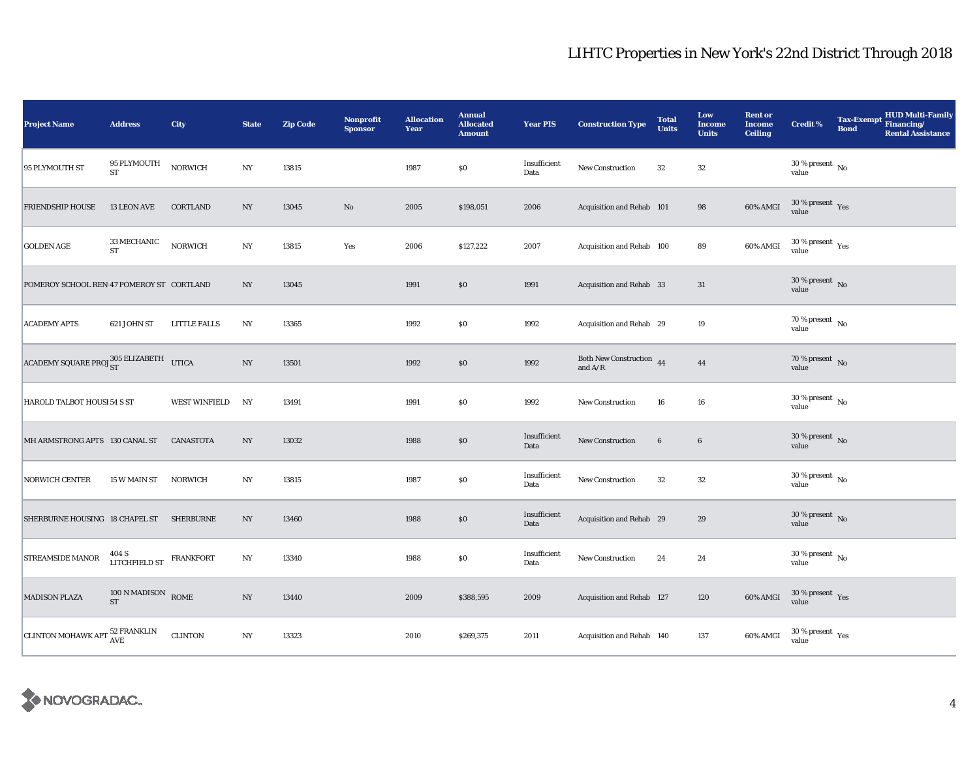| <b>Project Name</b>                           | <b>Address</b>                       | City                 | <b>State</b>     | <b>Zip Code</b> | Nonprofit<br><b>Sponsor</b> | <b>Allocation</b><br>Year | <b>Annual</b><br><b>Allocated</b><br><b>Amount</b> | <b>Year PIS</b>      | <b>Construction Type</b>                                                          | <b>Total</b><br><b>Units</b> | Low<br><b>Income</b><br><b>Units</b> | <b>Rent or</b><br><b>Income</b><br><b>Ceiling</b> | Credit %                                     | <b>Tax-Exempt</b><br><b>Bond</b> | <b>HUD Multi-Family</b><br>Financing/<br><b>Rental Assistance</b> |
|-----------------------------------------------|--------------------------------------|----------------------|------------------|-----------------|-----------------------------|---------------------------|----------------------------------------------------|----------------------|-----------------------------------------------------------------------------------|------------------------------|--------------------------------------|---------------------------------------------------|----------------------------------------------|----------------------------------|-------------------------------------------------------------------|
| 95 PLYMOUTH ST                                | 95 PLYMOUTH<br>${\rm ST}$            | <b>NORWICH</b>       | $_{\mathrm{NY}}$ | 13815           |                             | 1987                      | \$0                                                | Insufficient<br>Data | New Construction                                                                  | $32\,$                       | 32                                   |                                                   | $30$ % present $\,$ No $\,$<br>value         |                                  |                                                                   |
| <b>FRIENDSHIP HOUSE</b>                       | 13 LEON AVE                          | <b>CORTLAND</b>      | $_{\mathrm{NY}}$ | 13045           | $\rm No$                    | 2005                      | \$198,051                                          | 2006                 | Acquisition and Rehab 101                                                         |                              | 98                                   | 60% AMGI                                          | $30\,\%$ present $\,$ Yes value              |                                  |                                                                   |
| <b>GOLDEN AGE</b>                             | $33\,\mathrm{MECHANIC}$<br><b>ST</b> | <b>NORWICH</b>       | NY               | 13815           | Yes                         | 2006                      | \$127,222                                          | 2007                 | Acquisition and Rehab 100                                                         |                              | 89                                   | 60% AMGI                                          | $30\,\%$ present $\,$ Yes value              |                                  |                                                                   |
| POMEROY SCHOOL REN 47 POMEROY ST CORTLAND     |                                      |                      | NY               | 13045           |                             | 1991                      | \$0                                                | 1991                 | Acquisition and Rehab 33                                                          |                              | 31                                   |                                                   | $30\,\%$ present $\,$ No value               |                                  |                                                                   |
| <b>ACADEMY APTS</b>                           | 621 JOHN ST                          | <b>LITTLE FALLS</b>  | N <sub>Y</sub>   | 13365           |                             | 1992                      | $\$0$                                              | 1992                 | Acquisition and Rehab 29                                                          |                              | 19                                   |                                                   | 70 % present $\hbox{~No}$<br>value           |                                  |                                                                   |
| ACADEMY SQUARE PRO. 305 ELIZABETH UTICA       |                                      |                      | N <sub>Y</sub>   | 13501           |                             | 1992                      | \$0                                                | 1992                 | Both New Construction 44<br>and $\ensuremath{\mathrm{A}}/\ensuremath{\mathrm{R}}$ |                              | 44                                   |                                                   | $70\%$ present No<br>value                   |                                  |                                                                   |
| HAROLD TALBOT HOUSI 54 S ST                   |                                      | <b>WEST WINFIELD</b> | NY               | 13491           |                             | 1991                      | \$0                                                | 1992                 | New Construction                                                                  | 16                           | 16                                   |                                                   | $30$ % present $\,$ No $\,$<br>value         |                                  |                                                                   |
| MH ARMSTRONG APTS 130 CANAL ST                |                                      | <b>CANASTOTA</b>     | $_{\mathrm{NY}}$ | 13032           |                             | 1988                      | $\$0$                                              | Insufficient<br>Data | New Construction                                                                  | $6\phantom{.}6$              | $\boldsymbol{6}$                     |                                                   | $30\,\%$ present $\,$ No value               |                                  |                                                                   |
| <b>NORWICH CENTER</b>                         | 15 W MAIN ST                         | <b>NORWICH</b>       | $_{\mathrm{NY}}$ | 13815           |                             | 1987                      | $\$0$                                              | Insufficient<br>Data | New Construction                                                                  | $32\,$                       | 32                                   |                                                   | 30 % present $\overline{N_0}$<br>value       |                                  |                                                                   |
| SHERBURNE HOUSING 18 CHAPEL ST SHERBURNE      |                                      |                      | NY               | 13460           |                             | 1988                      | \$0                                                | Insufficient<br>Data | Acquisition and Rehab 29                                                          |                              | 29                                   |                                                   | $30\,\%$ present $\,$ No value               |                                  |                                                                   |
| <b>STREAMSIDE MANOR</b>                       | LITCHFIELD ST $$\tt FRANKFORT$$      |                      | NY               | 13340           |                             | 1988                      | $\$0$                                              | Insufficient<br>Data | New Construction                                                                  | 24                           | 24                                   |                                                   | $30\,\%$ present $\,$ No $\,$<br>value       |                                  |                                                                   |
| <b>MADISON PLAZA</b>                          | $100$ N MADISON $$\rm \,ROME$$ $\,$  |                      | $_{\mathrm{NY}}$ | 13440           |                             | 2009                      | \$388,595                                          | 2009                 | Acquisition and Rehab 127                                                         |                              | 120                                  | 60% AMGI                                          | $30\,\%$ present $\,$ Yes value              |                                  |                                                                   |
| CLINTON MOHAWK APT $_{\rm AVE}^{52}$ FRANKLIN |                                      | <b>CLINTON</b>       | NY               | 13323           |                             | 2010                      | \$269,375                                          | 2011                 | Acquisition and Rehab 140                                                         |                              | 137                                  | 60% AMGI                                          | $30$ % present $\rm\thinspace\,Yes$<br>value |                                  |                                                                   |

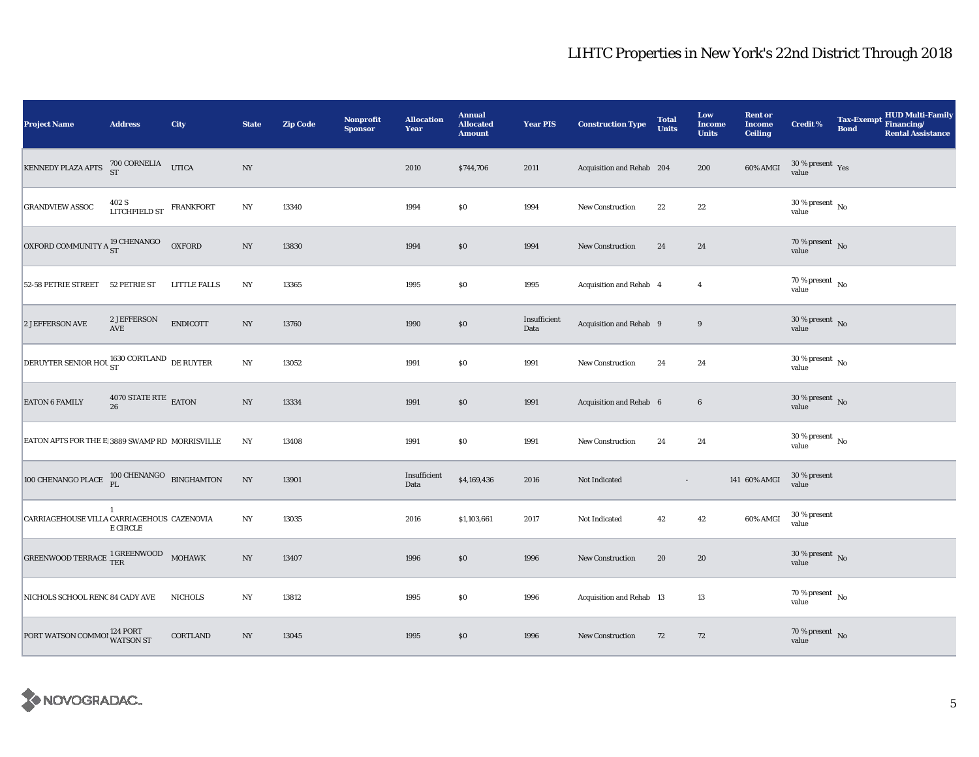| <b>Project Name</b>                                    | <b>Address</b>                               | <b>City</b>         | <b>State</b>     | <b>Zip Code</b> | <b>Nonprofit</b><br><b>Sponsor</b> | <b>Allocation</b><br>Year | <b>Annual</b><br><b>Allocated</b><br><b>Amount</b> | <b>Year PIS</b>      | <b>Construction Type</b>  | <b>Total</b><br><b>Units</b> | Low<br><b>Income</b><br><b>Units</b> | <b>Rent or</b><br><b>Income</b><br><b>Ceiling</b> | <b>Credit %</b>                          | <b>Tax-Exempt</b><br><b>Bond</b> | HUD Multi-Family<br>Financing/<br><b>Rental Assistance</b> |
|--------------------------------------------------------|----------------------------------------------|---------------------|------------------|-----------------|------------------------------------|---------------------------|----------------------------------------------------|----------------------|---------------------------|------------------------------|--------------------------------------|---------------------------------------------------|------------------------------------------|----------------------------------|------------------------------------------------------------|
| KENNEDY PLAZA APTS                                     | 700 CORNELIA UTICA                           |                     | $_{\mathrm{NY}}$ |                 |                                    | 2010                      | \$744,706                                          | 2011                 | Acquisition and Rehab 204 |                              | 200                                  | $60\%$ AMGI                                       | $30\,\%$ present $\,$ Yes value          |                                  |                                                            |
| <b>GRANDVIEW ASSOC</b>                                 | 402 S<br>LITCHFIELD ST<br>FRANKFORT          |                     | $_{\mathrm{NY}}$ | 13340           |                                    | 1994                      | \$0                                                | 1994                 | <b>New Construction</b>   | $\bf{22}$                    | $22\,$                               |                                                   | $30\,\%$ present $_{\, \rm No}$<br>value |                                  |                                                            |
| OXFORD COMMUNITY A <sup>19</sup> CHENANGO              |                                              | <b>OXFORD</b>       | NY               | 13830           |                                    | 1994                      | \$0                                                | 1994                 | New Construction          | 24                           | 24                                   |                                                   | $70\,\%$ present $\,$ No value           |                                  |                                                            |
| 52-58 PETRIE STREET                                    | 52 PETRIE ST                                 | <b>LITTLE FALLS</b> | NY               | 13365           |                                    | 1995                      | \$0                                                | 1995                 | Acquisition and Rehab 4   |                              | $\overline{4}$                       |                                                   | $70\,\%$ present $\,$ No value           |                                  |                                                            |
| 2 JEFFERSON AVE                                        | 2 JEFFERSON<br>$\operatorname{\mathbf{AVE}}$ | <b>ENDICOTT</b>     | $_{\mathrm{NY}}$ | 13760           |                                    | 1990                      | $\$0$                                              | Insufficient<br>Data | Acquisition and Rehab 9   |                              | 9                                    |                                                   | $30\,\%$ present $\,$ No value           |                                  |                                                            |
| DERUYTER SENIOR HOL <sup>1630</sup> CORTLAND DE RUYTER |                                              |                     | $_{\mathrm{NY}}$ | 13052           |                                    | 1991                      | \$0                                                | 1991                 | New Construction          | 24                           | 24                                   |                                                   | $30\,\%$ present $\,$ No value           |                                  |                                                            |
| <b>EATON 6 FAMILY</b>                                  | $4070$ STATE RTE $$\rm EATON$$ 26            |                     | $_{\mathrm{NY}}$ | 13334           |                                    | 1991                      | \$0                                                | 1991                 | Acquisition and Rehab 6   |                              | $\bf 6$                              |                                                   | $30\,\%$ present $\,$ No value           |                                  |                                                            |
| EATON APTS FOR THE E 3889 SWAMP RD MORRISVILLE         |                                              |                     | NY               | 13408           |                                    | 1991                      | \$0                                                | 1991                 | <b>New Construction</b>   | 24                           | 24                                   |                                                   | $30\,\%$ present $\,$ No value           |                                  |                                                            |
| 100 CHENANGO PLACE $100$ CHENANGO BINGHAMTON           |                                              |                     | $_{\mathrm{NY}}$ | 13901           |                                    | Insufficient<br>Data      | \$4,169,436                                        | 2016                 | Not Indicated             |                              |                                      | 141 60% AMGI                                      | 30 % present<br>value                    |                                  |                                                            |
| CARRIAGEHOUSE VILLA CARRIAGEHOUS CAZENOVIA             | $\mathbf{1}$<br><b>E CIRCLE</b>              |                     | NY               | 13035           |                                    | 2016                      | \$1,103,661                                        | 2017                 | Not Indicated             | 42                           | 42                                   | 60% AMGI                                          | 30 % present<br>value                    |                                  |                                                            |
| GREENWOOD TERRACE $1$ GREENWOOD MOHAWK                 |                                              |                     | N <sub>Y</sub>   | 13407           |                                    | 1996                      | \$0                                                | 1996                 | <b>New Construction</b>   | 20                           | 20                                   |                                                   | $30\,\%$ present $\,$ No value           |                                  |                                                            |
| NICHOLS SCHOOL RENC 84 CADY AVE                        |                                              | <b>NICHOLS</b>      | $_{\mathrm{NY}}$ | 13812           |                                    | 1995                      | \$0                                                | 1996                 | Acquisition and Rehab 13  |                              | 13                                   |                                                   | 70 % present $\hbox{~No}$<br>value       |                                  |                                                            |
| PORT WATSON COMMO! 124 PORT                            |                                              | CORTLAND            | $_{\mathrm{NY}}$ | 13045           |                                    | 1995                      | \$0                                                | 1996                 | New Construction          | 72                           | 72                                   |                                                   | $70\,\%$ present $\,$ No value           |                                  |                                                            |

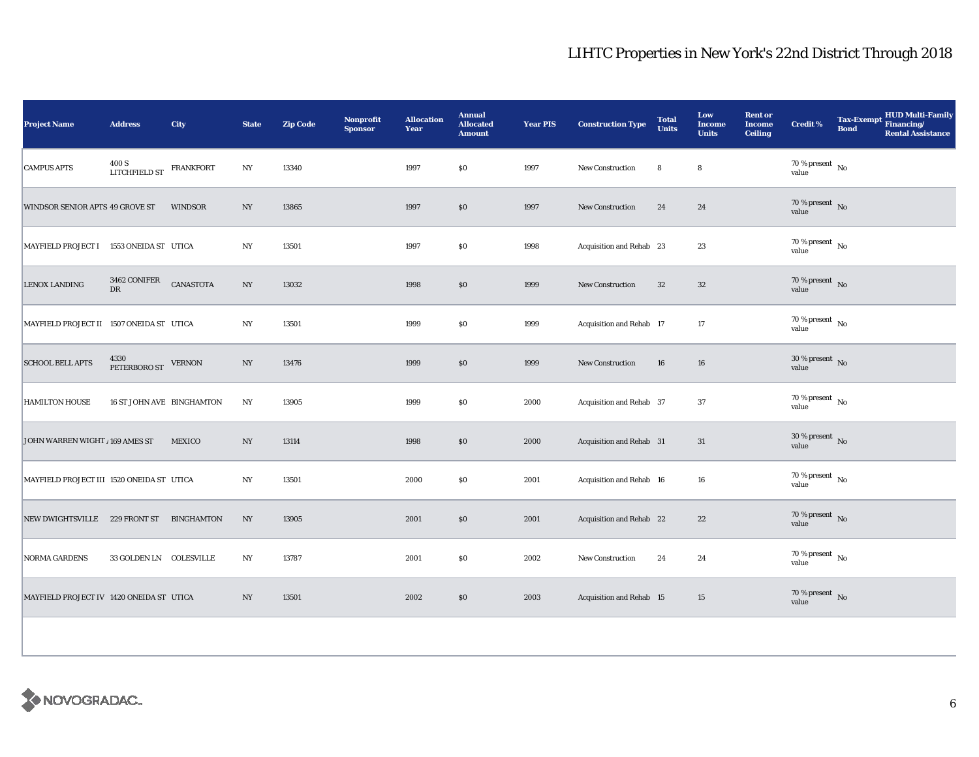| <b>Project Name</b>                       | <b>Address</b>                          | City             | <b>State</b>     | <b>Zip Code</b> | Nonprofit<br><b>Sponsor</b> | <b>Allocation</b><br>Year | <b>Annual</b><br><b>Allocated</b><br><b>Amount</b> | <b>Year PIS</b> | <b>Construction Type</b> | <b>Total</b><br><b>Units</b> | Low<br><b>Income</b><br><b>Units</b> | <b>Rent or</b><br><b>Income</b><br><b>Ceiling</b> | <b>Credit %</b>                     | Tax-Exempt HUD Multi-Family<br><b>Bond</b><br><b>Rental Assistance</b> |
|-------------------------------------------|-----------------------------------------|------------------|------------------|-----------------|-----------------------------|---------------------------|----------------------------------------------------|-----------------|--------------------------|------------------------------|--------------------------------------|---------------------------------------------------|-------------------------------------|------------------------------------------------------------------------|
| <b>CAMPUS APTS</b>                        | $400\,\mathrm{S}$ LITCHFIELD ST         | <b>FRANKFORT</b> | NY               | 13340           |                             | 1997                      | \$0                                                | 1997            | New Construction         | 8                            | 8                                    |                                                   | $70\,\%$ present $\,$ No value      |                                                                        |
| WINDSOR SENIOR APTS 49 GROVE ST           |                                         | <b>WINDSOR</b>   | NY               | 13865           |                             | 1997                      | \$0                                                | 1997            | <b>New Construction</b>  | 24                           | 24                                   |                                                   | $70\,\%$ present $\,$ No value      |                                                                        |
| MAYFIELD PROJECT I 1553 ONEIDA ST UTICA   |                                         |                  | NY               | 13501           |                             | 1997                      | \$0                                                | 1998            | Acquisition and Rehab 23 |                              | 23                                   |                                                   | $70\,\%$ present $\,$ No value      |                                                                        |
| LENOX LANDING                             | 3462 CONIFER<br>${\rm DR}$              | <b>CANASTOTA</b> | $_{\mathrm{NY}}$ | 13032           |                             | 1998                      | $\$0$                                              | 1999            | New Construction         | $32\,$                       | $32\,$                               |                                                   | $70\,\%$ present $\,$ No value      |                                                                        |
| MAYFIELD PROJECT II 1507 ONEIDA ST UTICA  |                                         |                  | NY               | 13501           |                             | 1999                      | \$0                                                | 1999            | Acquisition and Rehab 17 |                              | 17                                   |                                                   | $70\,\%$ present $\,$ No value      |                                                                        |
| <b>SCHOOL BELL APTS</b>                   | $4330 \, \, {\rm PETERBORO\,ST}$ VERNON |                  | $_{\mathrm{NY}}$ | 13476           |                             | 1999                      | \$0                                                | 1999            | <b>New Construction</b>  | 16                           | 16                                   |                                                   | $30\,\%$ present $\,$ No value      |                                                                        |
| <b>HAMILTON HOUSE</b>                     | 16 ST JOHN AVE BINGHAMTON               |                  | NY               | 13905           |                             | 1999                      | \$0                                                | 2000            | Acquisition and Rehab 37 |                              | 37                                   |                                                   | $70\,\%$ present $\,$ No value      |                                                                        |
| JOHN WARREN WIGHT / 169 AMES ST           |                                         | MEXICO           | NY               | 13114           |                             | 1998                      | $\$0$                                              | 2000            | Acquisition and Rehab 31 |                              | 31                                   |                                                   | $30\,\%$ present $\,$ No value      |                                                                        |
| MAYFIELD PROJECT III 1520 ONEIDA ST UTICA |                                         |                  | NY               | 13501           |                             | 2000                      | \$0                                                | 2001            | Acquisition and Rehab 16 |                              | 16                                   |                                                   | $70\,\%$ present $\,$ No value      |                                                                        |
| NEW DWIGHTSVILLE 229 FRONT ST BINGHAMTON  |                                         |                  | NY               | 13905           |                             | 2001                      | \$0                                                | 2001            | Acquisition and Rehab 22 |                              | 22                                   |                                                   | $70\,\%$ present $${\rm No}$$ value |                                                                        |
| <b>NORMA GARDENS</b>                      | 33 GOLDEN LN COLESVILLE                 |                  | NY               | 13787           |                             | 2001                      | <b>SO</b>                                          | 2002            | <b>New Construction</b>  | 24                           | 24                                   |                                                   | $70\,\%$ present $\,$ No value      |                                                                        |
| MAYFIELD PROJECT IV 1420 ONEIDA ST UTICA  |                                         |                  | NY               | 13501           |                             | 2002                      | \$0                                                | 2003            | Acquisition and Rehab 15 |                              | 15                                   |                                                   | $70\,\%$ present $\,$ No value      |                                                                        |
|                                           |                                         |                  |                  |                 |                             |                           |                                                    |                 |                          |                              |                                      |                                                   |                                     |                                                                        |